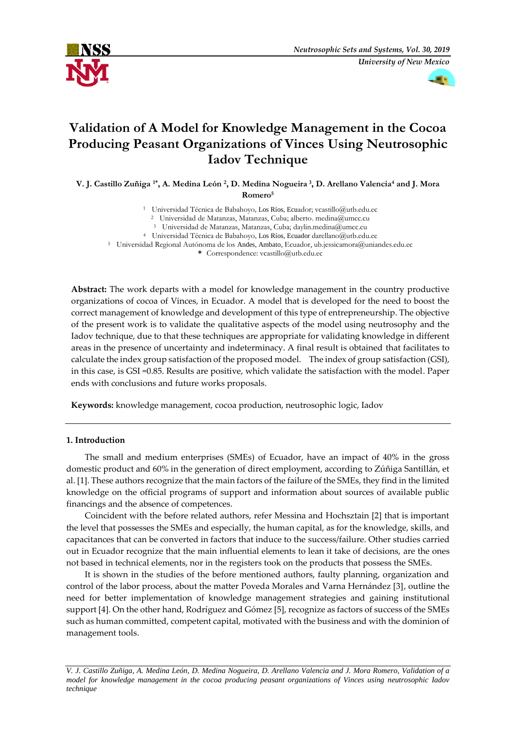



# **Validation of A Model for Knowledge Management in the Cocoa Producing Peasant Organizations of Vinces Using Neutrosophic Iadov Technique**

**V. J. Castillo Zuñiga 1\* , A. Medina León <sup>2</sup> , D. Medina Nogueira <sup>3</sup> , D. Arellano Valencia<sup>4</sup> and J. Mora Romero<sup>5</sup>**

> Universidad Técnica de Babahoyo, Los Ríos, Ecuador; [vcastillo@utb.edu.ec](mailto:vcastillo@utb.edu.ec) Universidad de Matanzas, Matanzas, Cuba; alberto. [medina@umcc.cu](mailto:alberto.medina@umcc.cu) Universidad de Matanzas, Matanzas, Cuba; [daylin.medina@umcc.cu](mailto:daylin.medina@umcc.cu) Universidad Técnica de Babahoyo, Los Ríos, Ecuador [darellano@utb.edu.ec](mailto:darellano@utb.edu.ec)

<sup>5</sup> Universidad Regional Autónoma de los Andes, Ambato, Ecuador, [ub.jessicamora@uniandes.edu.ec](mailto:ub.jessicamora@uniandes.edu.ec)

**\*** Correspondence: [vcastillo@utb.edu.ec](mailto:vcastillo@utb.edu.ec)

**Abstract:** The work departs with a model for knowledge management in the country productive organizations of cocoa of Vinces, in Ecuador. A model that is developed for the need to boost the correct management of knowledge and development of this type of entrepreneurship. The objective of the present work is to validate the qualitative aspects of the model using neutrosophy and the Iadov technique, due to that these techniques are appropriate for validating knowledge in different areas in the presence of uncertainty and indeterminacy. A final result is obtained that facilitates to calculate the index group satisfaction of the proposed model. The index of group satisfaction (GSI), in this case, is GSI =0.85. Results are positive, which validate the satisfaction with the model. Paper ends with conclusions and future works proposals.

**Keywords:** knowledge management, cocoa production, neutrosophic logic, Iadov

## **1. Introduction**

The small and medium enterprises (SMEs) of Ecuador, have an impact of 40% in the gross domestic product and 60% in the generation of direct employment, according to Zúñiga Santillán, et al. [1]. These authors recognize that the main factors of the failure of the SMEs, they find in the limited knowledge on the official programs of support and information about sources of available public financings and the absence of competences.

Coincident with the before related authors, refer Messina and Hochsztain [2] that is important the level that possesses the SMEs and especially, the human capital, as for the knowledge, skills, and capacitances that can be converted in factors that induce to the success/failure. Other studies carried out in Ecuador recognize that the main influential elements to lean it take of decisions, are the ones not based in technical elements, nor in the registers took on the products that possess the SMEs.

It is shown in the studies of the before mentioned authors, faulty planning, organization and control of the labor process, about the matter Poveda Morales and Varna Hernández [3], outline the need for better implementation of knowledge management strategies and gaining institutional support [4]. On the other hand, Rodríguez and Gómez [5], recognize as factors of success of the SMEs such as human committed, competent capital, motivated with the business and with the dominion of management tools.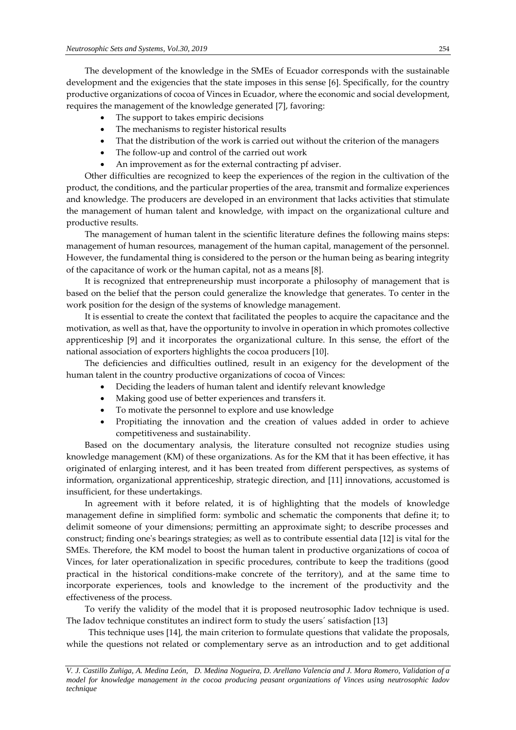The development of the knowledge in the SMEs of Ecuador corresponds with the sustainable development and the exigencies that the state imposes in this sense [6]. Specifically, for the country productive organizations of cocoa of Vinces in Ecuador, where the economic and social development, requires the management of the knowledge generated [7], favoring:

- The support to takes empiric decisions
- The mechanisms to register historical results
- That the distribution of the work is carried out without the criterion of the managers
- The follow-up and control of the carried out work
- An improvement as for the external contracting pf adviser.

Other difficulties are recognized to keep the experiences of the region in the cultivation of the product, the conditions, and the particular properties of the area, transmit and formalize experiences and knowledge. The producers are developed in an environment that lacks activities that stimulate the management of human talent and knowledge, with impact on the organizational culture and productive results.

The management of human talent in the scientific literature defines the following mains steps: management of human resources, management of the human capital, management of the personnel. However, the fundamental thing is considered to the person or the human being as bearing integrity of the capacitance of work or the human capital, not as a means [8].

It is recognized that entrepreneurship must incorporate a philosophy of management that is based on the belief that the person could generalize the knowledge that generates. To center in the work position for the design of the systems of knowledge management.

It is essential to create the context that facilitated the peoples to acquire the capacitance and the motivation, as well as that, have the opportunity to involve in operation in which promotes collective apprenticeship [9] and it incorporates the organizational culture. In this sense, the effort of the national association of exporters highlights the cocoa producers [10].

The deficiencies and difficulties outlined, result in an exigency for the development of the human talent in the country productive organizations of cocoa of Vinces:

- Deciding the leaders of human talent and identify relevant knowledge
- Making good use of better experiences and transfers it.
- To motivate the personnel to explore and use knowledge
- Propitiating the innovation and the creation of values added in order to achieve competitiveness and sustainability.

Based on the documentary analysis, the literature consulted not recognize studies using knowledge management (KM) of these organizations. As for the KM that it has been effective, it has originated of enlarging interest, and it has been treated from different perspectives, as systems of information, organizational apprenticeship, strategic direction, and [11] innovations, accustomed is insufficient, for these undertakings.

In agreement with it before related, it is of highlighting that the models of knowledge management define in simplified form: symbolic and schematic the components that define it; to delimit someone of your dimensions; permitting an approximate sight; to describe processes and construct; finding one's bearings strategies; as well as to contribute essential data [12] is vital for the SMEs. Therefore, the KM model to boost the human talent in productive organizations of cocoa of Vinces, for later operationalization in specific procedures, contribute to keep the traditions (good practical in the historical conditions-make concrete of the territory), and at the same time to incorporate experiences, tools and knowledge to the increment of the productivity and the effectiveness of the process.

To verify the validity of the model that it is proposed neutrosophic Iadov technique is used. The Iadov technique constitutes an indirect form to study the users´ satisfaction [13]

This technique uses [14], the main criterion to formulate questions that validate the proposals, while the questions not related or complementary serve as an introduction and to get additional

*V. J. Castillo Zuñiga, A. Medina León, D. Medina Nogueira, D. Arellano Valencia and J. Mora Romero, Validation of a model for knowledge management in the cocoa producing peasant organizations of Vinces using neutrosophic Iadov technique*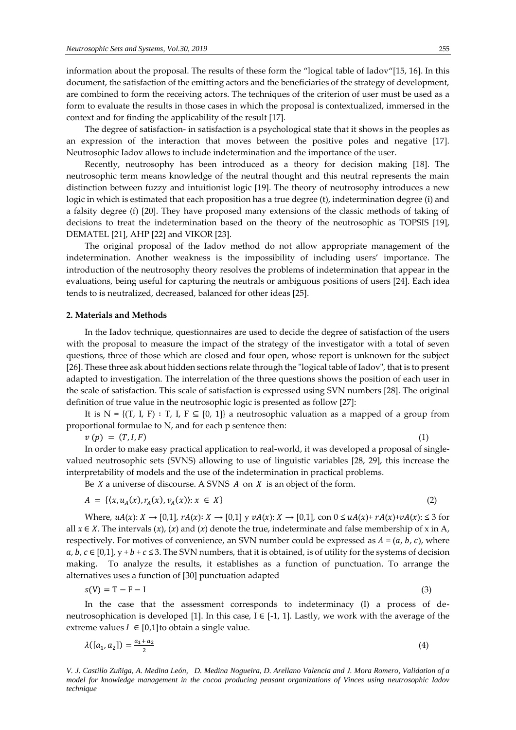information about the proposal. The results of these form the "logical table of Iadov"[15, 16]. In this document, the satisfaction of the emitting actors and the beneficiaries of the strategy of development, are combined to form the receiving actors. The techniques of the criterion of user must be used as a form to evaluate the results in those cases in which the proposal is contextualized, immersed in the context and for finding the applicability of the result [17].

The degree of satisfaction- in satisfaction is a psychological state that it shows in the peoples as an expression of the interaction that moves between the positive poles and negative [17]. Neutrosophic Iadov allows to include indetermination and the importance of the user.

Recently, neutrosophy has been introduced as a theory for decision making [18]. The neutrosophic term means knowledge of the neutral thought and this neutral represents the main distinction between fuzzy and intuitionist logic [19]. The theory of neutrosophy introduces a new logic in which is estimated that each proposition has a true degree (t), indetermination degree (i) and a falsity degree (f) [20]. They have proposed many extensions of the classic methods of taking of decisions to treat the indetermination based on the theory of the neutrosophic as TOPSIS [19], DEMATEL [21], AHP [22] and VIKOR [23].

The original proposal of the Iadov method do not allow appropriate management of the indetermination. Another weakness is the impossibility of including users' importance. The introduction of the neutrosophy theory resolves the problems of indetermination that appear in the evaluations, being useful for capturing the neutrals or ambiguous positions of users [24]. Each idea tends to is neutralized, decreased, balanced for other ideas [25].

#### **2. Materials and Methods**

In the Iadov technique, questionnaires are used to decide the degree of satisfaction of the users with the proposal to measure the impact of the strategy of the investigator with a total of seven questions, three of those which are closed and four open, whose report is unknown for the subject [26]. These three ask about hidden sections relate through the "logical table of Iadov", that is to present adapted to investigation. The interrelation of the three questions shows the position of each user in the scale of satisfaction. This scale of satisfaction is expressed using SVN numbers [28]. The original definition of true value in the neutrosophic logic is presented as follow [27]:

It is N = { $(T, I, F)$  : T, I,  $F \subseteq [0, 1]$ } a neutrosophic valuation as a mapped of a group from proportional formulae to N, and for each p sentence then:

 $v(p) = (T, I, F)$  (1)

In order to make easy practical application to real-world, it was developed a proposal of singlevalued neutrosophic sets (SVNS) allowing to use of linguistic variables [28, 29], this increase the interpretability of models and the use of the indetermination in practical problems.

Be  $X$  a universe of discourse. A SVNS  $A$  on  $X$  is an object of the form.

$$
A = \{ (x, u_A(x), r_A(x), v_A(x)) : x \in X \}
$$
 (2)

Where,  $uA(x): X \to [0,1], rA(x): X \to [0,1]$  y  $vA(x): X \to [0,1]$ , con  $0 \le uA(x)+rA(x)+vA(x): \le 3$  for all  $x \in X$ . The intervals  $(x)$ ,  $(x)$  and  $(x)$  denote the true, indeterminate and false membership of x in A, respectively. For motives of convenience, an SVN number could be expressed as  $A = (a, b, c)$ , where  $a, b, c \in [0,1], y + b + c \leq 3$ . The SVN numbers, that it is obtained, is of utility for the systems of decision making. To analyze the results, it establishes as a function of punctuation. To arrange the alternatives uses a function of [30] punctuation adapted

$$
s(V) = T - F - I \tag{3}
$$

In the case that the assessment corresponds to indeterminacy (I) a process of deneutrosophication is developed [1]. In this case,  $I \in [-1, 1]$ . Lastly, we work with the average of the extreme values  $I \in [0,1]$ to obtain a single value.

$$
\lambda([a_1, a_2]) = \frac{a_1 + a_2}{2} \tag{4}
$$

*V. J. Castillo Zuñiga, A. Medina León, D. Medina Nogueira, D. Arellano Valencia and J. Mora Romero, Validation of a model for knowledge management in the cocoa producing peasant organizations of Vinces using neutrosophic Iadov technique*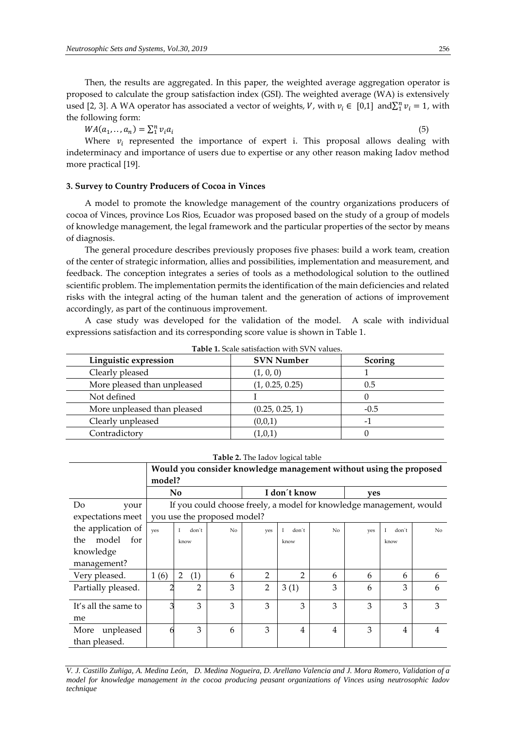Then, the results are aggregated. In this paper, the weighted average aggregation operator is proposed to calculate the group satisfaction index (GSI). The weighted average (WA) is extensively used [2, 3]. A WA operator has associated a vector of weights, V, with  $v_i \in [0,1]$  and $\sum_1^n v_i = 1$ , with the following form:

 $WA(a_1, ..., a_n) = \sum_1^n v_i a_i$ 

(5)

Where  $v_i$  represented the importance of expert i. This proposal allows dealing with indeterminacy and importance of users due to expertise or any other reason making Iadov method more practical [19].

## **3. Survey to Country Producers of Cocoa in Vinces**

A model to promote the knowledge management of the country organizations producers of cocoa of Vinces, province Los Rios, Ecuador was proposed based on the study of a group of models of knowledge management, the legal framework and the particular properties of the sector by means of diagnosis.

The general procedure describes previously proposes five phases: build a work team, creation of the center of strategic information, allies and possibilities, implementation and measurement, and feedback. The conception integrates a series of tools as a methodological solution to the outlined scientific problem. The implementation permits the identification of the main deficiencies and related risks with the integral acting of the human talent and the generation of actions of improvement accordingly, as part of the continuous improvement.

A case study was developed for the validation of the model. A scale with individual expressions satisfaction and its corresponding score value is shown in Table 1.

| <b>TUDIC 1.</b> DUAIU BAUBIAUDIU WIAI D V I V VAIAUB. |                   |                |  |  |  |  |
|-------------------------------------------------------|-------------------|----------------|--|--|--|--|
| Linguistic expression                                 | <b>SVN Number</b> | <b>Scoring</b> |  |  |  |  |
| Clearly pleased                                       | (1, 0, 0)         |                |  |  |  |  |
| More pleased than unpleased                           | (1, 0.25, 0.25)   | 0.5            |  |  |  |  |
| Not defined                                           |                   |                |  |  |  |  |
| More unpleased than pleased                           | (0.25, 0.25, 1)   | $-0.5$         |  |  |  |  |
| Clearly unpleased                                     | (0,0,1)           |                |  |  |  |  |
| Contradictory                                         | (1,0,1)           |                |  |  |  |  |

**Table 1.** Scale satisfaction with SVN values.

| Table 2. The Iadov logical table |  |  |
|----------------------------------|--|--|
|----------------------------------|--|--|

|                      | Would you consider knowledge management without using the proposed |                                                                     |                             |                |                   |                |     |            |                |
|----------------------|--------------------------------------------------------------------|---------------------------------------------------------------------|-----------------------------|----------------|-------------------|----------------|-----|------------|----------------|
|                      | model?                                                             |                                                                     |                             |                |                   |                |     |            |                |
|                      |                                                                    | N <sub>0</sub>                                                      |                             |                | I don't know      |                | yes |            |                |
| Do<br>your           |                                                                    | If you could choose freely, a model for knowledge management, would |                             |                |                   |                |     |            |                |
| expectations meet    |                                                                    |                                                                     | you use the proposed model? |                |                   |                |     |            |                |
| the application of   | ves                                                                | don't<br>I                                                          | No                          | ves            | don't<br>$\bf{I}$ | N <sub>0</sub> | ves | don't<br>I | N <sub>o</sub> |
| model<br>for<br>the  |                                                                    | know                                                                |                             |                | know              |                |     | know       |                |
| knowledge            |                                                                    |                                                                     |                             |                |                   |                |     |            |                |
| management?          |                                                                    |                                                                     |                             |                |                   |                |     |            |                |
| Very pleased.        | 1(6)                                                               | (1)<br>2                                                            | 6                           | $\mathfrak{p}$ | 2                 | 6              | 6   | 6          | 6              |
| Partially pleased.   |                                                                    | $\overline{2}$                                                      | 3                           | 2              | 3(1)              | 3              | 6   | 3          | 6              |
| It's all the same to |                                                                    | 3                                                                   | 3                           | 3              | 3                 | 3              | 3   | 3          | 3              |
| me                   |                                                                    |                                                                     |                             |                |                   |                |     |            |                |
| unpleased<br>More    |                                                                    | 3                                                                   | 6                           | 3              | 4                 | 4              | 3   | 4          | 4              |
| than pleased.        |                                                                    |                                                                     |                             |                |                   |                |     |            |                |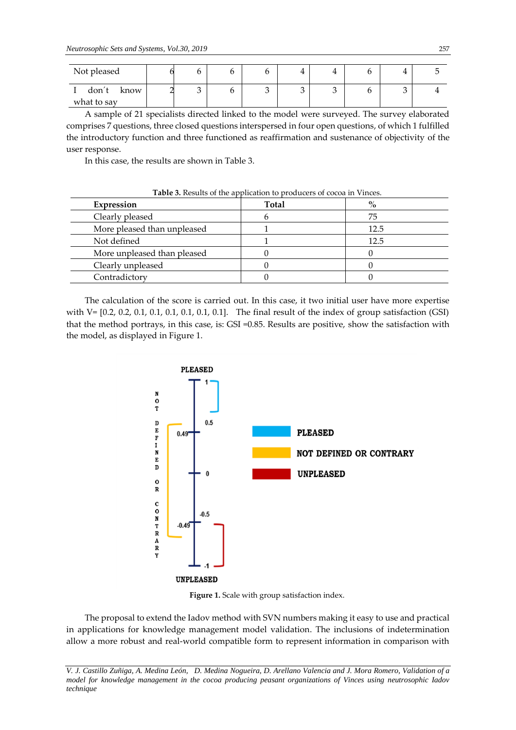| Not pleased   |   | O | I | 4 |   |  |
|---------------|---|---|---|---|---|--|
| don't<br>know | ັ | U | ັ |   | ັ |  |
| what to say   |   |   |   |   |   |  |

A sample of 21 specialists directed linked to the model were surveyed. The survey elaborated comprises 7 questions, three closed questions interspersed in four open questions, of which 1 fulfilled the introductory function and three functioned as reaffirmation and sustenance of objectivity of the user response.

In this case, the results are shown in Table 3.

| Expression                  | Total | $\frac{6}{6}$ |
|-----------------------------|-------|---------------|
| Clearly pleased             |       | 75            |
| More pleased than unpleased |       | 12.5          |
| Not defined                 |       | 12.5          |
| More unpleased than pleased |       |               |
| Clearly unpleased           |       |               |
| Contradictory               |       |               |

**Table 3.** Results of the application to producers of cocoa in Vinces.

The calculation of the score is carried out. In this case, it two initial user have more expertise with V= [0.2, 0.2, 0.1, 0.1, 0.1, 0.1, 0.1, 0.1]. The final result of the index of group satisfaction (GSI) that the method portrays, in this case, is: GSI =0.85. Results are positive, show the satisfaction with the model, as displayed in Figure 1.



**Figure 1.** Scale with group satisfaction index.

The proposal to extend the Iadov method with SVN numbers making it easy to use and practical in applications for knowledge management model validation. The inclusions of indetermination allow a more robust and real-world compatible form to represent information in comparison with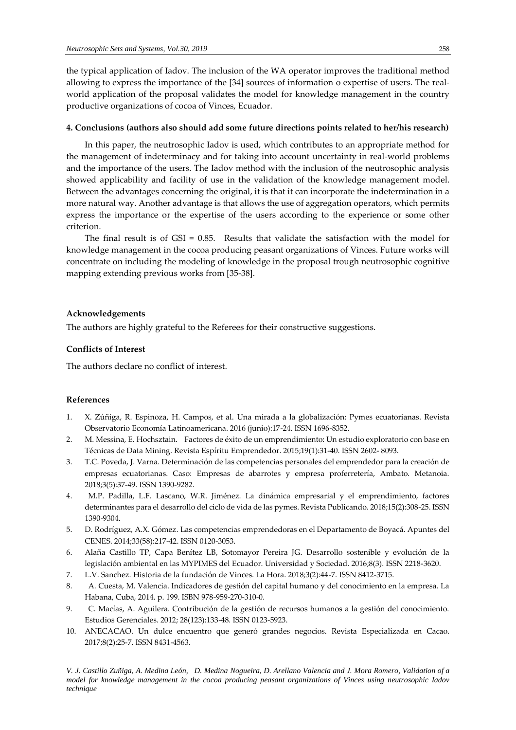the typical application of Iadov. The inclusion of the WA operator improves the traditional method allowing to express the importance of the [34] sources of information o expertise of users. The realworld application of the proposal validates the model for knowledge management in the country productive organizations of cocoa of Vinces, Ecuador.

## **4. Conclusions (authors also should add some future directions points related to her/his research)**

In this paper, the neutrosophic Iadov is used, which contributes to an appropriate method for the management of indeterminacy and for taking into account uncertainty in real-world problems and the importance of the users. The Iadov method with the inclusion of the neutrosophic analysis showed applicability and facility of use in the validation of the knowledge management model. Between the advantages concerning the original, it is that it can incorporate the indetermination in a more natural way. Another advantage is that allows the use of aggregation operators, which permits express the importance or the expertise of the users according to the experience or some other criterion.

The final result is of  $GSI = 0.85$ . Results that validate the satisfaction with the model for knowledge management in the cocoa producing peasant organizations of Vinces. Future works will concentrate on including the modeling of knowledge in the proposal trough neutrosophic cognitive mapping extending previous works from [35-38].

#### **Acknowledgements**

The authors are highly grateful to the Referees for their constructive suggestions.

## **Conflicts of Interest**

The authors declare no conflict of interest.

#### **References**

- 1. X. Zúñiga, R. Espinoza, H. Campos, et al. Una mirada a la globalización: Pymes ecuatorianas. Revista Observatorio Economía Latinoamericana. 2016 (junio):17-24. ISSN 1696-8352.
- 2. M. Messina, E. Hochsztain. Factores de éxito de un emprendimiento: Un estudio exploratorio con base en Técnicas de Data Mining. Revista Espíritu Emprendedor. 2015;19(1):31-40. ISSN 2602- 8093.
- 3. T.C. Poveda, J. Varna. Determinación de las competencias personales del emprendedor para la creación de empresas ecuatorianas. Caso: Empresas de abarrotes y empresa proferretería, Ambato. Metanoia. 2018;3(5):37-49. ISSN 1390-9282.
- 4. M.P. Padilla, L.F. Lascano, W.R. Jiménez. La dinámica empresarial y el emprendimiento, factores determinantes para el desarrollo del ciclo de vida de las pymes. Revista Publicando. 2018;15(2):308-25. ISSN 1390-9304.
- 5. D. Rodríguez, A.X. Gómez. Las competencias emprendedoras en el Departamento de Boyacá. Apuntes del CENES. 2014;33(58):217-42. ISSN 0120-3053.
- 6. Alaña Castillo TP, Capa Benítez LB, Sotomayor Pereira JG. Desarrollo sostenible y evolución de la legislación ambiental en las MYPIMES del Ecuador. Universidad y Sociedad. 2016;8(3). ISSN 2218-3620.
- 7. L.V. Sanchez. Historia de la fundación de Vinces. La Hora. 2018;3(2):44-7. ISSN 8412-3715.
- 8. A. Cuesta, M. Valencia. Indicadores de gestión del capital humano y del conocimiento en la empresa. La Habana, Cuba, 2014. p. 199. ISBN 978-959-270-310-0.
- 9. C. Macías, A. Aguilera. Contribución de la gestión de recursos humanos a la gestión del conocimiento. Estudios Gerenciales. 2012; 28(123):133-48. ISSN 0123-5923.
- 10. ANECACAO. Un dulce encuentro que generó grandes negocios. Revista Especializada en Cacao. 2017;8(2):25-7. ISSN 8431-4563.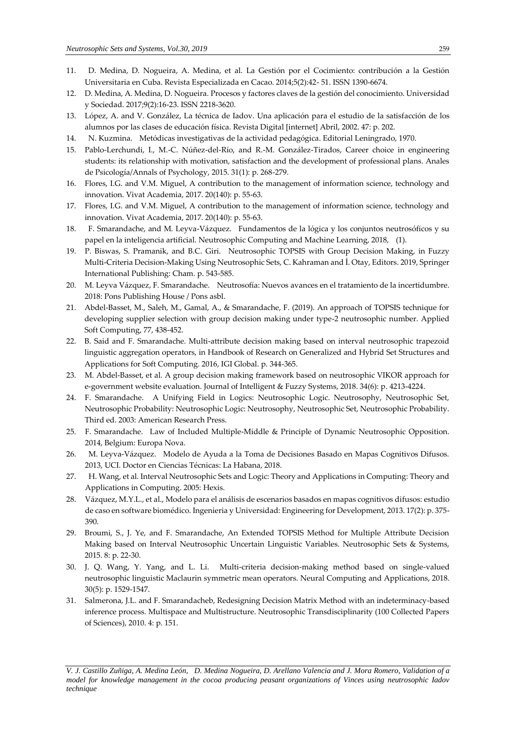- 11. D. Medina, D. Nogueira, A. Medina, et al. La Gestión por el Cocimiento: contribución a la Gestión Universitaria en Cuba. Revista Especializada en Cacao. 2014;5(2):42- 51. ISSN 1390-6674.
- 12. D. Medina, A. Medina, D. Nogueira. Procesos y factores claves de la gestión del conocimiento. Universidad y Sociedad. 2017;9(2):16-23. ISSN 2218-3620.
- 13. López, A. and V. González, La técnica de Iadov. Una aplicación para el estudio de la satisfacción de los alumnos por las clases de educación física. Revista Digital [internet] Abril, 2002. 47: p. 202.
- 14. N. Kuzmina. Metódicas investigativas de la actividad pedagógica. Editorial Leningrado, 1970.
- 15. Pablo-Lerchundi, I., M.-C. Núñez-del-Río, and R.-M. González-Tirados, Career choice in engineering students: its relationship with motivation, satisfaction and the development of professional plans. Anales de Psicología/Annals of Psychology, 2015. 31(1): p. 268-279.
- 16. Flores, I.G. and V.M. Miguel, A contribution to the management of information science, technology and innovation. Vivat Academia, 2017. 20(140): p. 55-63.
- 17. Flores, I.G. and V.M. Miguel, A contribution to the management of information science, technology and innovation. Vivat Academia, 2017. 20(140): p. 55-63.
- 18. F. Smarandache, and M. Leyva-Vázquez. Fundamentos de la lógica y los conjuntos neutrosóficos y su papel en la inteligencia artificial. Neutrosophic Computing and Machine Learning, 2018, (1).
- 19. P. Biswas, S. Pramanik, and B.C. Giri. Neutrosophic TOPSIS with Group Decision Making, in Fuzzy Multi-Criteria Decision-Making Using Neutrosophic Sets, C. Kahraman and İ. Otay, Editors. 2019, Springer International Publishing: Cham. p. 543-585.
- 20. M. Leyva Vázquez, F. Smarandache. Neutrosofía: Nuevos avances en el tratamiento de la incertidumbre. 2018: Pons Publishing House / Pons asbl.
- 21. Abdel-Basset, M., Saleh, M., Gamal, A., & Smarandache, F. (2019). An approach of TOPSIS technique for developing supplier selection with group decision making under type-2 neutrosophic number. Applied Soft Computing, 77, 438-452.
- 22. B. Said and F. Smarandache. Multi-attribute decision making based on interval neutrosophic trapezoid linguistic aggregation operators, in Handbook of Research on Generalized and Hybrid Set Structures and Applications for Soft Computing. 2016, IGI Global. p. 344-365.
- 23. M. Abdel-Basset, et al. A group decision making framework based on neutrosophic VIKOR approach for e-government website evaluation. Journal of Intelligent & Fuzzy Systems, 2018. 34(6): p. 4213-4224.
- 24. F. Smarandache. A Unifying Field in Logics: Neutrosophic Logic. Neutrosophy, Neutrosophic Set, Neutrosophic Probability: Neutrosophic Logic: Neutrosophy, Neutrosophic Set, Neutrosophic Probability. Third ed. 2003: American Research Press.
- 25. F. Smarandache. Law of Included Multiple-Middle & Principle of Dynamic Neutrosophic Opposition. 2014, Belgium: Europa Nova.
- 26. M. Leyva-Vázquez. Modelo de Ayuda a la Toma de Decisiones Basado en Mapas Cognitivos Difusos. 2013, UCI. Doctor en Ciencias Técnicas: La Habana, 2018.
- 27. H. Wang, et al. Interval Neutrosophic Sets and Logic: Theory and Applications in Computing: Theory and Applications in Computing. 2005: Hexis.
- 28. Vázquez, M.Y.L., et al., Modelo para el análisis de escenarios basados en mapas cognitivos difusos: estudio de caso en software biomédico. Ingenieria y Universidad: Engineering for Development, 2013. 17(2): p. 375- 390.
- 29. Broumi, S., J. Ye, and F. Smarandache, An Extended TOPSIS Method for Multiple Attribute Decision Making based on Interval Neutrosophic Uncertain Linguistic Variables. Neutrosophic Sets & Systems, 2015. 8: p. 22-30.
- 30. J. Q. Wang, Y. Yang, and L. Li. Multi-criteria decision-making method based on single-valued neutrosophic linguistic Maclaurin symmetric mean operators. Neural Computing and Applications, 2018. 30(5): p. 1529-1547.
- 31. Salmerona, J.L. and F. Smarandacheb, Redesigning Decision Matrix Method with an indeterminacy-based inference process. Multispace and Multistructure. Neutrosophic Transdisciplinarity (100 Collected Papers of Sciences), 2010. 4: p. 151.